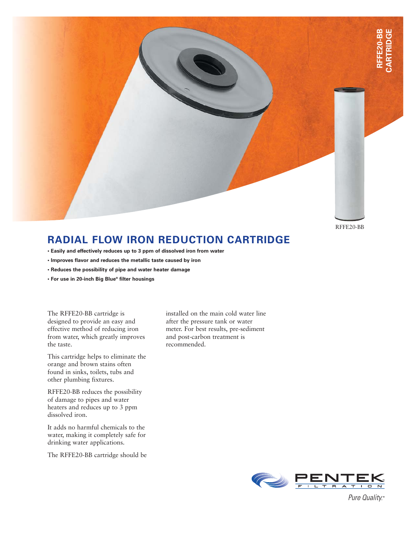RFFE20-BB

## **RADIAL FLOW IRON REDUCTION CARTRIDGE**

- **Easily and effectively reduces up to 3 ppm of dissolved iron from water**
- **Improves flavor and reduces the metallic taste caused by iron**
- **Reduces the possibility of pipe and water heater damage**
- **For use in 20-inch Big Blue® filter housings**

The RFFE20-BB cartridge is designed to provide an easy and effective method of reducing iron from water, which greatly improves the taste.

This cartridge helps to eliminate the orange and brown stains often found in sinks, toilets, tubs and other plumbing fixtures.

RFFE20-BB reduces the possibility of damage to pipes and water heaters and reduces up to 3 ppm dissolved iron.

It adds no harmful chemicals to the water, making it completely safe for drinking water applications.

The RFFE20-BB cartridge should be

installed on the main cold water line after the pressure tank or water meter. For best results, pre-sediment and post-carbon treatment is recommended.



Pure Quality.™